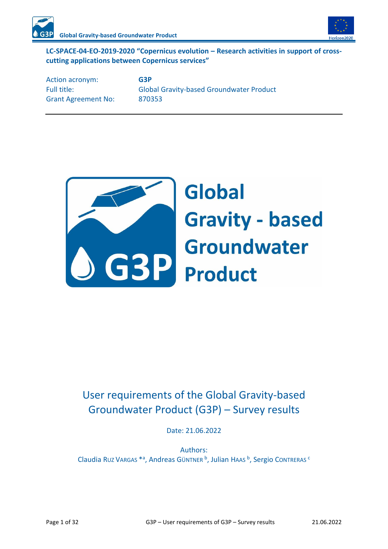

#### **LC-SPACE-04-EO-2019-2020 "Copernicus evolution – Research activities in support of crosscutting applications between Copernicus services"**

Action acronym: **G3P** Grant Agreement No: 870353

Full title: Global Gravity-based Groundwater Product



# **Global Gravity - based GBP** Groundwater

## User requirements of the Global Gravity-based Groundwater Product (G3P) – Survey results

Date: 21.06.2022

Authors: Claudia Ruz Vargas \*ª, Andreas Güntner b, Julian Haas b, Sergio Contreras <sup>c</sup>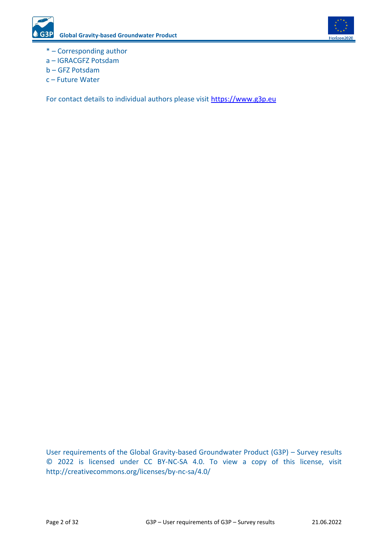

- \* Corresponding author
- a IGRACGFZ Potsdam
- b GFZ Potsdam
- c Future Water

For contact details to individual authors please visit [https://www.g3p.eu](https://www.g3p.eu/)

User requirements of the Global Gravity-based Groundwater Product (G3P) – Survey results © 2022 is licensed under CC BY-NC-SA 4.0. To view a copy of this license, visit http://creativecommons.org/licenses/by-nc-sa/4.0/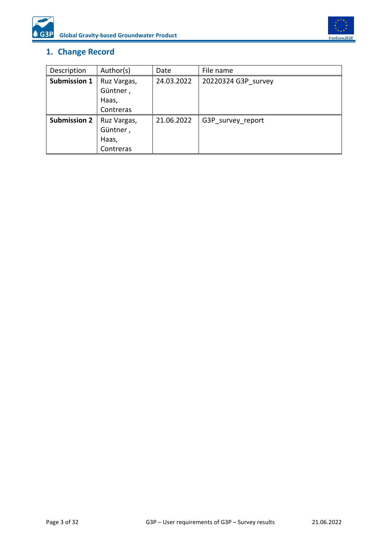



## <span id="page-2-0"></span>**1. Change Record**

| Description         | Author(s)   | Date       | File name           |
|---------------------|-------------|------------|---------------------|
| Submission 1        | Ruz Vargas, | 24.03.2022 | 20220324 G3P survey |
|                     | Güntner,    |            |                     |
|                     | Haas,       |            |                     |
|                     | Contreras   |            |                     |
| <b>Submission 2</b> | Ruz Vargas, | 21.06.2022 | G3P survey report   |
|                     | Güntner,    |            |                     |
|                     | Haas,       |            |                     |
|                     | Contreras   |            |                     |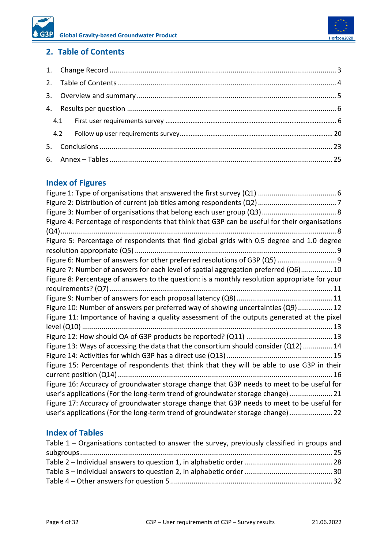## <span id="page-3-0"></span>**2. Table of Contents**

## **Index of Figures**

| Figure 4: Percentage of respondents that think that G3P can be useful for their organisations |
|-----------------------------------------------------------------------------------------------|
|                                                                                               |
| Figure 5: Percentage of respondents that find global grids with 0.5 degree and 1.0 degree     |
| Figure 6: Number of answers for other preferred resolutions of G3P (Q5)  9                    |
| Figure 7: Number of answers for each level of spatial aggregation preferred (Q6) 10           |
| Figure 8: Percentage of answers to the question: is a monthly resolution appropriate for your |
|                                                                                               |
|                                                                                               |
| Figure 10: Number of answers per preferred way of showing uncertainties (Q9) 12               |
| Figure 11: Importance of having a quality assessment of the outputs generated at the pixel    |
|                                                                                               |
|                                                                                               |
| Figure 13: Ways of accessing the data that the consortium should consider (Q12) 14            |
|                                                                                               |
| Figure 15: Percentage of respondents that think that they will be able to use G3P in their    |
|                                                                                               |
| Figure 16: Accuracy of groundwater storage change that G3P needs to meet to be useful for     |
| user's applications (For the long-term trend of groundwater storage change) 21                |
| Figure 17: Accuracy of groundwater storage change that G3P needs to meet to be useful for     |
| user's applications (For the long-term trend of groundwater storage change) 22                |
|                                                                                               |

## **Index of Tables**

| Table $1$ – Organisations contacted to answer the survey, previously classified in groups and |  |
|-----------------------------------------------------------------------------------------------|--|
|                                                                                               |  |
|                                                                                               |  |
|                                                                                               |  |
|                                                                                               |  |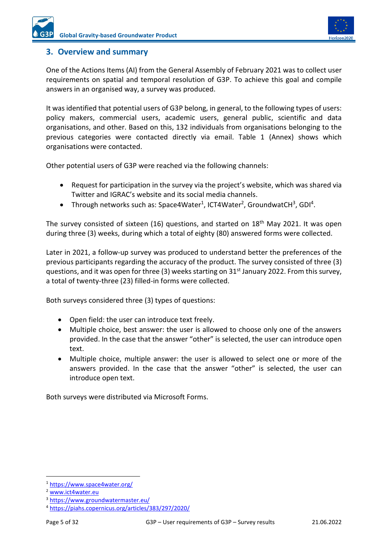

#### <span id="page-4-0"></span>**3. Overview and summary**

One of the Actions Items (AI) from the General Assembly of February 2021 was to collect user requirements on spatial and temporal resolution of G3P. To achieve this goal and compile answers in an organised way, a survey was produced.

It was identified that potential users of G3P belong, in general, to the following types of users: policy makers, commercial users, academic users, general public, scientific and data organisations, and other. Based on this, 132 individuals from organisations belonging to the previous categories were contacted directly via email. [Table 1](#page-24-1) (Annex) shows which organisations were contacted.

Other potential users of G3P were reached via the following channels:

- Request for participation in the survey via the project's website, which was shared via Twitter and IGRAC's website and its social media channels.
- Through networks such as: Space4Water<sup>1</sup>, ICT4Water<sup>2</sup>, GroundwatCH<sup>3</sup>, GDI<sup>4</sup>.

The survey consisted of sixteen (16) questions, and started on 18<sup>th</sup> May 2021. It was open during three (3) weeks, during which a total of eighty (80) answered forms were collected.

Later in 2021, a follow-up survey was produced to understand better the preferences of the previous participants regarding the accuracy of the product. The survey consisted of three (3) questions, and it was open for three (3) weeks starting on 31<sup>st</sup> January 2022. From this survey, a total of twenty-three (23) filled-in forms were collected.

Both surveys considered three (3) types of questions:

- Open field: the user can introduce text freely.
- Multiple choice, best answer: the user is allowed to choose only one of the answers provided. In the case that the answer "other" is selected, the user can introduce open text.
- Multiple choice, multiple answer: the user is allowed to select one or more of the answers provided. In the case that the answer "other" is selected, the user can introduce open text.

Both surveys were distributed via Microsoft Forms.

<sup>1</sup> <https://www.space4water.org/>

<sup>2</sup> [www.ict4water.eu](http://www.ict4water.eu/)

<sup>3</sup> <https://www.groundwatermaster.eu/>

<sup>4</sup> <https://piahs.copernicus.org/articles/383/297/2020/>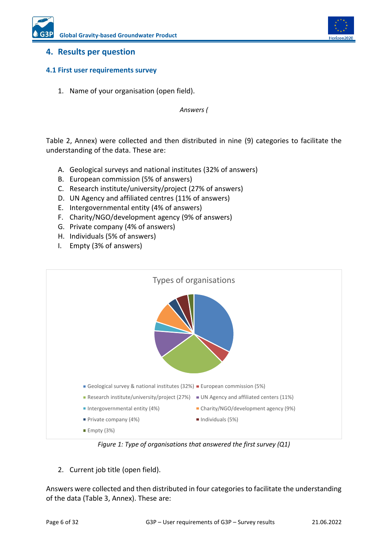

#### <span id="page-5-0"></span>**4. Results per question**

#### <span id="page-5-1"></span>**4.1 First user requirements survey**

1. Name of your organisation (open field).

*Answers [\(](#page-26-0)*

[Table 2,](#page-26-0) Annex) were collected and then distributed in nine (9) categories to facilitate the understanding of the data. These are:

- A. Geological surveys and national institutes (32% of answers)
- B. European commission (5% of answers)
- C. Research institute/university/project (27% of answers)
- D. UN Agency and affiliated centres (11% of answers)
- E. Intergovernmental entity (4% of answers)
- F. Charity/NGO/development agency (9% of answers)
- G. Private company (4% of answers)
- H. Individuals (5% of answers)
- I. Empty (3% of answers)

|                                                                        | Types of organisations                 |
|------------------------------------------------------------------------|----------------------------------------|
|                                                                        |                                        |
| Geological survey & national institutes (32%) European commission (5%) |                                        |
| Research institute/university/project (27%)                            | UN Agency and affiliated centers (11%) |
| Intergovernmental entity (4%)                                          | Charity/NGO/development agency (9%)    |
| Private company (4%)                                                   | $\blacksquare$ Individuals (5%)        |
| $\blacksquare$ Empty (3%)                                              |                                        |

*Figure 1: Type of organisations that answered the first survey (Q1)*

<span id="page-5-2"></span>2. Current job title (open field).

Answers were collected and then distributed in four categories to facilitate the understanding of the data [\(Table 3,](#page-29-0) Annex). These are: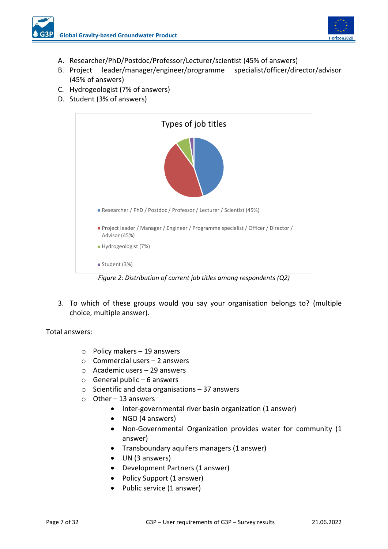

- A. Researcher/PhD/Postdoc/Professor/Lecturer/scientist (45% of answers)
- B. Project leader/manager/engineer/programme specialist/officer/director/advisor (45% of answers)
- C. Hydrogeologist (7% of answers)
- D. Student (3% of answers)



<span id="page-6-0"></span>3. To which of these groups would you say your organisation belongs to? (multiple choice, multiple answer).

Total answers:

- o Policy makers 19 answers
- o Commercial users 2 answers
- $\circ$  Academic users 29 answers
- $\circ$  General public 6 answers
- $\circ$  Scientific and data organisations 37 answers
- $\circ$  Other 13 answers
	- Inter-governmental river basin organization (1 answer)
	- NGO (4 answers)
	- Non-Governmental Organization provides water for community (1 answer)
	- Transboundary aquifers managers (1 answer)
	- UN (3 answers)
	- Development Partners (1 answer)
	- Policy Support (1 answer)
	- Public service (1 answer)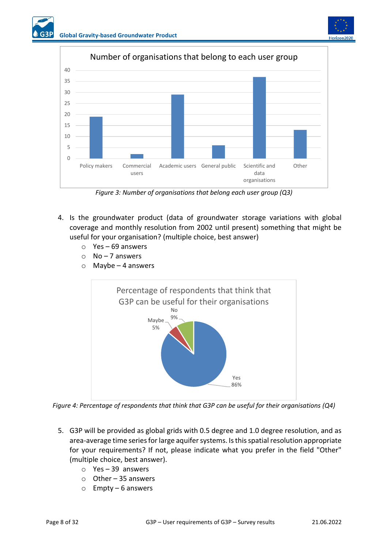



*Figure 3: Number of organisations that belong each user group (Q3)*

- <span id="page-7-0"></span>4. Is the groundwater product (data of groundwater storage variations with global coverage and monthly resolution from 2002 until present) something that might be useful for your organisation? (multiple choice, best answer)
	- o Yes 69 answers
	- $O$  No 7 answers
	- $\circ$  Maybe 4 answers



<span id="page-7-1"></span>*Figure 4: Percentage of respondents that think that G3P can be useful for their organisations (Q4)*

- 5. G3P will be provided as global grids with 0.5 degree and 1.0 degree resolution, and as area-average time series for large aquifer systems. Is this spatial resolution appropriate for your requirements? If not, please indicate what you prefer in the field "Other" (multiple choice, best answer).
	- o Yes 39 answers
	- o Other 35 answers
	- o Empty 6 answers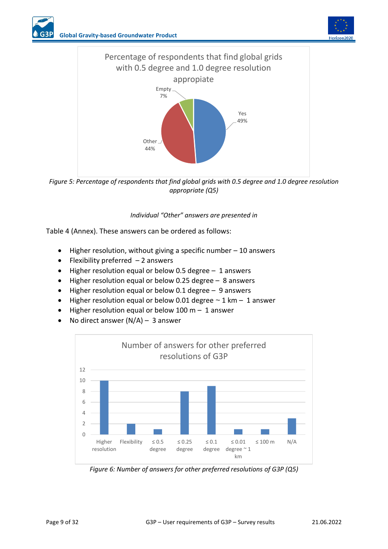

*Figure 5: Percentage of respondents that find global grids with 0.5 degree and 1.0 degree resolution appropriate (Q5)*

*Individual "Other" answers are presented i[n](#page-30-0)* 

<span id="page-8-0"></span>[Table 4](#page-30-0) (Annex). These answers can be ordered as follows:

- Higher resolution, without giving a specific number  $-10$  answers
- Flexibility preferred  $-2$  answers
- Higher resolution equal or below 0.5 degree 1 answers
- Higher resolution equal or below 0.25 degree 8 answers
- Higher resolution equal or below 0.1 degree 9 answers
- Higher resolution equal or below 0.01 degree  $\sim$  1 km  $-$  1 answer
- Higher resolution equal or below 100 m 1 answer
- No direct answer  $(N/A)$  3 answer



<span id="page-8-1"></span>*Figure 6: Number of answers for other preferred resolutions of G3P (Q5)*

Horizon2020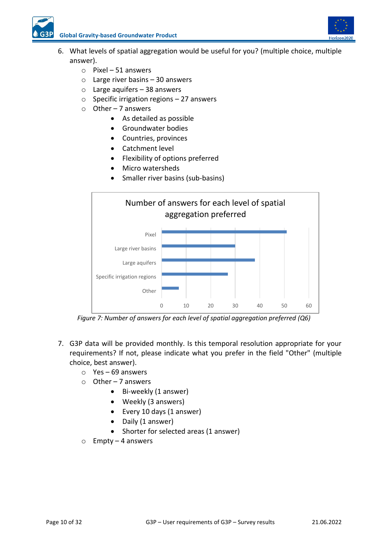

**Global Gravity-based Groundwater Product**

- 6. What levels of spatial aggregation would be useful for you? (multiple choice, multiple answer).
	- o Pixel 51 answers
	- $\circ$  Large river basins 30 answers
	- $\circ$  Large aquifers 38 answers
	- $\circ$  Specific irrigation regions 27 answers
	- $\circ$  Other 7 answers
		- As detailed as possible
		- Groundwater bodies
		- Countries, provinces
		- Catchment level
		- Flexibility of options preferred
		- Micro watersheds
		- Smaller river basins (sub-basins)



*Figure 7: Number of answers for each level of spatial aggregation preferred (Q6)*

- <span id="page-9-0"></span>7. G3P data will be provided monthly. Is this temporal resolution appropriate for your requirements? If not, please indicate what you prefer in the field "Other" (multiple choice, best answer).
	- o Yes 69 answers
	- $\circ$  Other 7 answers
		- Bi-weekly (1 answer)
		- Weekly (3 answers)
		- Every 10 days (1 answer)
		- Daily (1 answer)
		- Shorter for selected areas (1 answer)
	- o Empty 4 answers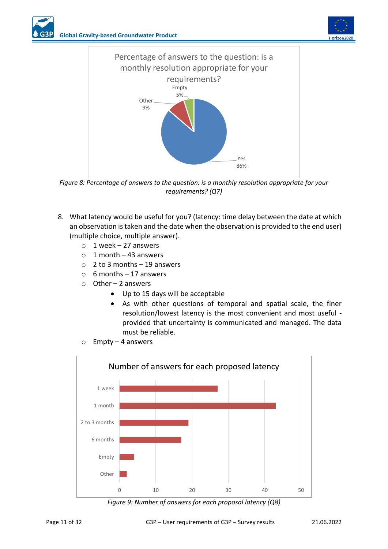



<span id="page-10-0"></span>*Figure 8: Percentage of answers to the question: is a monthly resolution appropriate for your requirements? (Q7)*

- 8. What latency would be useful for you? (latency: time delay between the date at which an observation is taken and the date when the observation is provided to the end user) (multiple choice, multiple answer).
	- $\circ$  1 week 27 answers
	- $\circ$  1 month 43 answers
	- $\circ$  2 to 3 months 19 answers
	- $\circ$  6 months 17 answers
	- $\circ$  Other 2 answers
		- Up to 15 days will be acceptable
		- As with other questions of temporal and spatial scale, the finer resolution/lowest latency is the most convenient and most useful provided that uncertainty is communicated and managed. The data must be reliable.
	- o Empty 4 answers



<span id="page-10-1"></span>*Figure 9: Number of answers for each proposal latency (Q8)*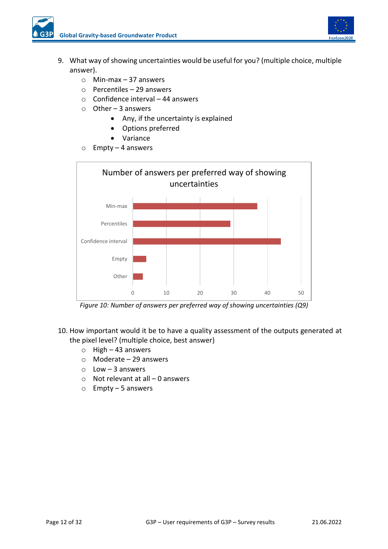

- 9. What way of showing uncertainties would be useful for you? (multiple choice, multiple answer).
	- o Min-max 37 answers
	- o Percentiles 29 answers
	- $\circ$  Confidence interval 44 answers
	- o Other 3 answers
		- Any, if the uncertainty is explained
		- Options preferred
		- Variance
	- o Empty 4 answers



*Figure 10: Number of answers per preferred way of showing uncertainties (Q9)*

- <span id="page-11-0"></span>10. How important would it be to have a quality assessment of the outputs generated at the pixel level? (multiple choice, best answer)
	- o High 43 answers
	- o Moderate 29 answers
	- $\circ$  Low 3 answers
	- $\circ$  Not relevant at all 0 answers
	- o Empty 5 answers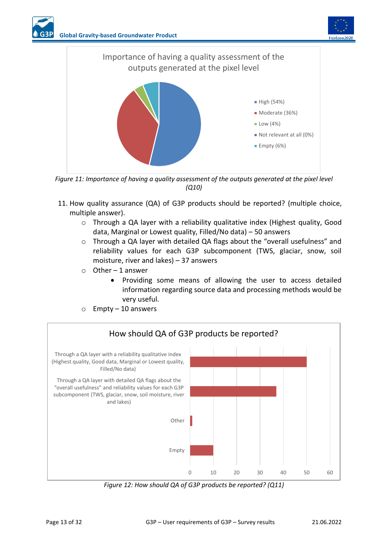



<span id="page-12-0"></span>*Figure 11: Importance of having a quality assessment of the outputs generated at the pixel level (Q10)*

- 11. How quality assurance (QA) of G3P products should be reported? (multiple choice, multiple answer).
	- o Through a QA layer with a reliability qualitative index (Highest quality, Good data, Marginal or Lowest quality, Filled/No data) – 50 answers
	- o Through a QA layer with detailed QA flags about the "overall usefulness" and reliability values for each G3P subcomponent (TWS, glaciar, snow, soil moisture, river and lakes) – 37 answers
	- $\circ$  Other 1 answer
		- Providing some means of allowing the user to access detailed information regarding source data and processing methods would be very useful.

<span id="page-12-1"></span>

 $\circ$  Empty – 10 answers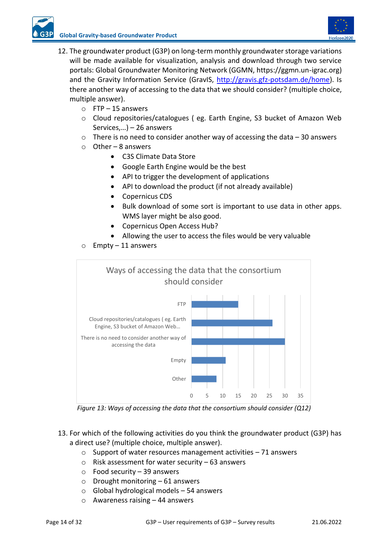

- 12. The groundwater product (G3P) on long-term monthly groundwater storage variations will be made available for visualization, analysis and download through two service portals: Global Groundwater Monitoring Network (GGMN, https://ggmn.un-igrac.org) and the Gravity Information Service (GravIS, [http://gravis.gfz-potsdam.de/home\)](http://gravis.gfz-potsdam.de/home). Is there another way of accessing to the data that we should consider? (multiple choice, multiple answer).
	- $\circ$  FTP 15 answers
	- o Cloud repositories/catalogues ( eg. Earth Engine, S3 bucket of Amazon Web Services,…) – 26 answers
	- $\circ$  There is no need to consider another way of accessing the data 30 answers
	- $\circ$  Other 8 answers
		- C3S Climate Data Store
		- Google Earth Engine would be the best
		- API to trigger the development of applications
		- API to download the product (if not already available)
		- Copernicus CDS
		- Bulk download of some sort is important to use data in other apps. WMS layer might be also good.
		- Copernicus Open Access Hub?
		- Allowing the user to access the files would be very valuable
	- o Empty 11 answers



*Figure 13: Ways of accessing the data that the consortium should consider (Q12)*

- <span id="page-13-0"></span>13. For which of the following activities do you think the groundwater product (G3P) has a direct use? (multiple choice, multiple answer).
	- o Support of water resources management activities 71 answers
	- $\circ$  Risk assessment for water security 63 answers
	- o Food security 39 answers
	- $\circ$  Drought monitoring 61 answers
	- $\circ$  Global hydrological models 54 answers
	- $\circ$  Awareness raising  $-44$  answers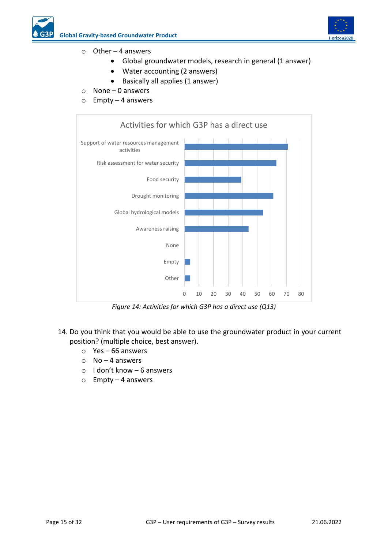

#### $\circ$  Other – 4 answers

- Global groundwater models, research in general (1 answer)
- Water accounting (2 answers)
- Basically all applies (1 answer)
- $\circ$  None 0 answers
- $\circ$  Empty 4 answers



*Figure 14: Activities for which G3P has a direct use (Q13)*

- <span id="page-14-0"></span>14. Do you think that you would be able to use the groundwater product in your current position? (multiple choice, best answer).
	- o Yes 66 answers
	- $\circ$  No 4 answers
	- o I don't know 6 answers
	- o Empty 4 answers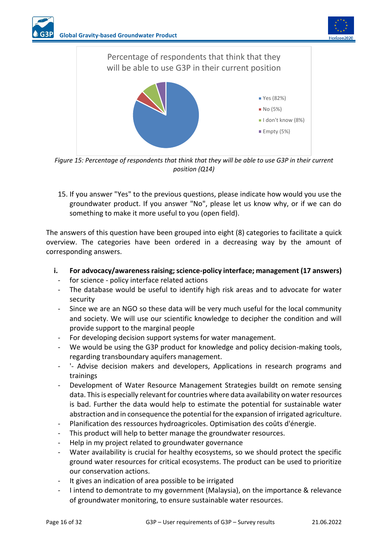



<span id="page-15-0"></span>*Figure 15: Percentage of respondents that think that they will be able to use G3P in their current position (Q14)*

15. If you answer "Yes" to the previous questions, please indicate how would you use the groundwater product. If you answer "No", please let us know why, or if we can do something to make it more useful to you (open field).

The answers of this question have been grouped into eight (8) categories to facilitate a quick overview. The categories have been ordered in a decreasing way by the amount of corresponding answers.

- **i. For advocacy/awareness raising; science-policy interface; management (17 answers)**
	- for science policy interface related actions
	- The database would be useful to identify high risk areas and to advocate for water security
	- Since we are an NGO so these data will be very much useful for the local community and society. We will use our scientific knowledge to decipher the condition and will provide support to the marginal people
	- For developing decision support systems for water management.
	- We would be using the G3P product for knowledge and policy decision-making tools, regarding transboundary aquifers management.
	- '- Advise decision makers and developers, Applications in research programs and trainings
	- Development of Water Resource Management Strategies buildt on remote sensing data. This is especially relevant for countries where data availability on water resources is bad. Further the data would help to estimate the potential for sustainable water abstraction and in consequence the potential for the expansion of irrigated agriculture.
	- Planification des ressources hydroagricoles. Optimisation des coûts d'énergie.
	- This product will help to better manage the groundwater resources.
	- Help in my project related to groundwater governance
	- Water availability is crucial for healthy ecosystems, so we should protect the specific ground water resources for critical ecosystems. The product can be used to prioritize our conservation actions.
	- It gives an indication of area possible to be irrigated
	- I intend to demontrate to my government (Malaysia), on the importance & relevance of groundwater monitoring, to ensure sustainable water resources.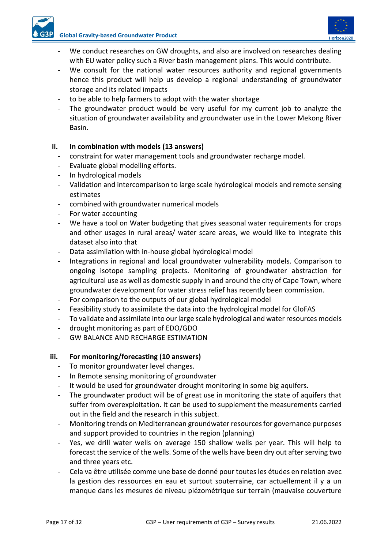

- We conduct researches on GW droughts, and also are involved on researches dealing with EU water policy such a River basin management plans. This would contribute.
- We consult for the national water resources authority and regional governments hence this product will help us develop a regional understanding of groundwater storage and its related impacts
- to be able to help farmers to adopt with the water shortage
- The groundwater product would be very useful for my current job to analyze the situation of groundwater availability and groundwater use in the Lower Mekong River Basin.

#### **ii. In combination with models (13 answers)**

- constraint for water management tools and groundwater recharge model.
- Evaluate global modelling efforts.
- In hydrological models
- Validation and intercomparison to large scale hydrological models and remote sensing estimates
- combined with groundwater numerical models
- For water accounting
- We have a tool on Water budgeting that gives seasonal water requirements for crops and other usages in rural areas/ water scare areas, we would like to integrate this dataset also into that
- Data assimilation with in-house global hydrological model
- Integrations in regional and local groundwater vulnerability models. Comparison to ongoing isotope sampling projects. Monitoring of groundwater abstraction for agricultural use as well as domestic supply in and around the city of Cape Town, where groundwater development for water stress relief has recently been commission.
- For comparison to the outputs of our global hydrological model
- Feasibility study to assimilate the data into the hydrological model for GloFAS
- To validate and assimilate into our large scale hydrological and water resources models
- drought monitoring as part of EDO/GDO
- GW BALANCE AND RECHARGE ESTIMATION

#### **iii. For monitoring/forecasting (10 answers)**

- To monitor groundwater level changes.
- In Remote sensing monitoring of groundwater
- It would be used for groundwater drought monitoring in some big aquifers.
- The groundwater product will be of great use in monitoring the state of aquifers that suffer from overexploitation. It can be used to supplement the measurements carried out in the field and the research in this subject.
- Monitoring trends on Mediterranean groundwater resources for governance purposes and support provided to countries in the region (planning)
- Yes, we drill water wells on average 150 shallow wells per year. This will help to forecast the service of the wells. Some of the wells have been dry out after serving two and three years etc.
- Cela va être utilisée comme une base de donné pour toutes les études en relation avec la gestion des ressources en eau et surtout souterraine, car actuellement il y a un manque dans les mesures de niveau piézométrique sur terrain (mauvaise couverture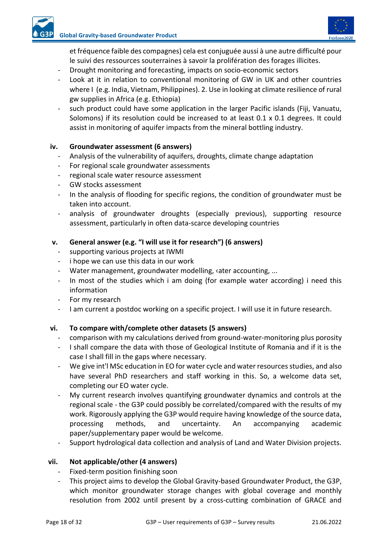

et fréquence faible des compagnes) cela est conjuguée aussi à une autre difficulté pour le suivi des ressources souterraines à savoir la prolifération des forages illicites.

- Drought monitoring and forecasting, impacts on socio-economic sectors
- Look at it in relation to conventional monitoring of GW in UK and other countries where I (e.g. India, Vietnam, Philippines). 2. Use in looking at climate resilience of rural gw supplies in Africa (e.g. Ethiopia)
- such product could have some application in the larger Pacific islands (Fiji, Vanuatu, Solomons) if its resolution could be increased to at least 0.1 x 0.1 degrees. It could assist in monitoring of aquifer impacts from the mineral bottling industry.

#### **iv. Groundwater assessment (6 answers)**

- Analysis of the vulnerability of aquifers, droughts, climate change adaptation
- For regional scale groundwater assessments
- regional scale water resource assessment
- GW stocks assessment
- In the analysis of flooding for specific regions, the condition of groundwater must be taken into account.
- analysis of groundwater droughts (especially previous), supporting resource assessment, particularly in often data-scarce developing countries

#### **v. General answer (e.g. "I will use it for research") (6 answers)**

- supporting various projects at IWMI
- i hope we can use this data in our work
- Water management, groundwater modelling, vater accounting, ...
- In most of the studies which i am doing (for example water according) i need this information
- For my research
- I am current a postdoc working on a specific project. I will use it in future research.

#### **vi. To compare with/complete other datasets (5 answers)**

- comparison with my calculations derived from ground-water-monitoring plus porosity
- I shall compare the data with those of Geological Institute of Romania and if it is the case I shall fill in the gaps where necessary.
- We give int'l MSc education in EO for water cycle and water resources studies, and also have several PhD researchers and staff working in this. So, a welcome data set, completing our EO water cycle.
- My current research involves quantifying groundwater dynamics and controls at the regional scale - the G3P could possibly be correlated/compared with the results of my work. Rigorously applying the G3P would require having knowledge of the source data, processing methods, and uncertainty. An accompanying academic paper/supplementary paper would be welcome.
- Support hydrological data collection and analysis of Land and Water Division projects.

#### **vii. Not applicable/other (4 answers)**

- Fixed-term position finishing soon
- This project aims to develop the Global Gravity-based Groundwater Product, the G3P, which monitor groundwater storage changes with global coverage and monthly resolution from 2002 until present by a cross-cutting combination of GRACE and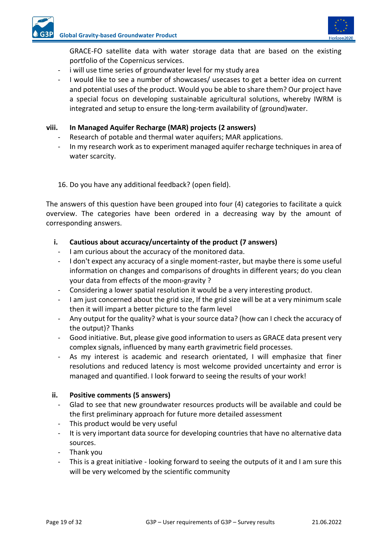

GRACE-FO satellite data with water storage data that are based on the existing portfolio of the Copernicus services.

- i will use time series of groundwater level for my study area
- I would like to see a number of showcases/ usecases to get a better idea on current and potential uses of the product. Would you be able to share them? Our project have a special focus on developing sustainable agricultural solutions, whereby IWRM is integrated and setup to ensure the long-term availability of (ground)water.

#### **viii. In Managed Aquifer Recharge (MAR) projects (2 answers)**

- Research of potable and thermal water aquifers; MAR applications.
- In my research work as to experiment managed aquifer recharge techniques in area of water scarcity.

#### 16. Do you have any additional feedback? (open field).

The answers of this question have been grouped into four (4) categories to facilitate a quick overview. The categories have been ordered in a decreasing way by the amount of corresponding answers.

#### **i. Cautious about accuracy/uncertainty of the product (7 answers)**

- I am curious about the accuracy of the monitored data.
- I don't expect any accuracy of a single moment-raster, but maybe there is some useful information on changes and comparisons of droughts in different years; do you clean your data from effects of the moon-gravity ?
- Considering a lower spatial resolution it would be a very interesting product.
- I am just concerned about the grid size, If the grid size will be at a very minimum scale then it will impart a better picture to the farm level
- Any output for the quality? what is your source data? (how can I check the accuracy of the output)? Thanks
- Good initiative. But, please give good information to users as GRACE data present very complex signals, influenced by many earth gravimetric field processes.
- As my interest is academic and research orientated, I will emphasize that finer resolutions and reduced latency is most welcome provided uncertainty and error is managed and quantified. I look forward to seeing the results of your work!

#### **ii. Positive comments (5 answers)**

- Glad to see that new groundwater resources products will be available and could be the first preliminary approach for future more detailed assessment
- This product would be very useful
- It is very important data source for developing countries that have no alternative data sources.
- Thank you
- This is a great initiative looking forward to seeing the outputs of it and I am sure this will be very welcomed by the scientific community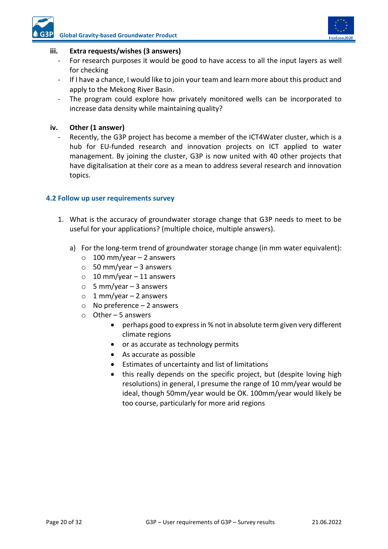

#### **iii. Extra requests/wishes (3 answers)**

- For research purposes it would be good to have access to all the input layers as well for checking
- If I have a chance, I would like to join your team and learn more about this product and apply to the Mekong River Basin.
- The program could explore how privately monitored wells can be incorporated to increase data density while maintaining quality?

#### **iv. Other (1 answer)**

Recently, the G3P project has become a member of the ICT4Water cluster, which is a hub for EU-funded research and innovation projects on ICT applied to water management. By joining the cluster, G3P is now united with 40 other projects that have digitalisation at their core as a mean to address several research and innovation topics.

#### <span id="page-19-0"></span>**4.2 Follow up user requirements survey**

- 1. What is the accuracy of groundwater storage change that G3P needs to meet to be useful for your applications? (multiple choice, multiple answers).
	- a) For the long-term trend of groundwater storage change (in mm water equivalent):
		- $\circ$  100 mm/year 2 answers
		- $\circ$  50 mm/year 3 answers
		- $\circ$  10 mm/year 11 answers
		- $\circ$  5 mm/year 3 answers
		- $\circ$  1 mm/year 2 answers
		- $\circ$  No preference 2 answers
		- o Other 5 answers
			- perhaps good to express in % not in absolute term given very different climate regions
			- or as accurate as technology permits
			- As accurate as possible
			- Estimates of uncertainty and list of limitations
			- this really depends on the specific project, but (despite loving high resolutions) in general, I presume the range of 10 mm/year would be ideal, though 50mm/year would be OK. 100mm/year would likely be too course, particularly for more arid regions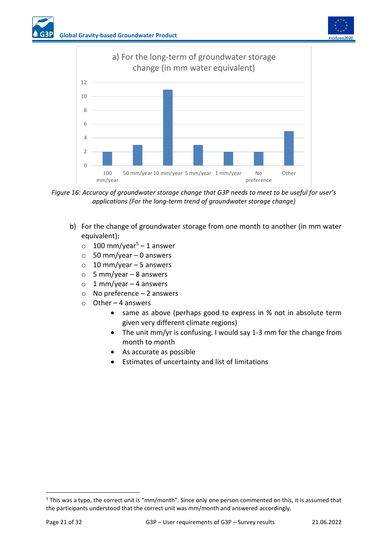



<span id="page-20-0"></span>*Figure 16: Accuracy of groundwater storage change that G3P needs to meet to be useful for user's applications (For the long-term trend of groundwater storage change)*

- b) For the change of groundwater storage from one month to another (in mm water equivalent):
	- $\circ$  100 mm/year<sup>5</sup> 1 answer
	- $\circ$  50 mm/year 0 answers
	- $\circ$  10 mm/year 5 answers
	- $\circ$  5 mm/year 8 answers
	- $\circ$  1 mm/year 4 answers
	- $\circ$  No preference 2 answers
	- o Other 4 answers
		- same as above (perhaps good to express in % not in absolute term given very different climate regions)
		- The unit mm/yr is confusing. I would say 1-3 mm for the change from month to month
		- As accurate as possible
		- Estimates of uncertainty and list of limitations

<sup>5</sup> This was a typo, the correct unit is "mm/month". Since only one person commented on this, it is assumed that the participants understood that the correct unit was mm/month and answered accordingly.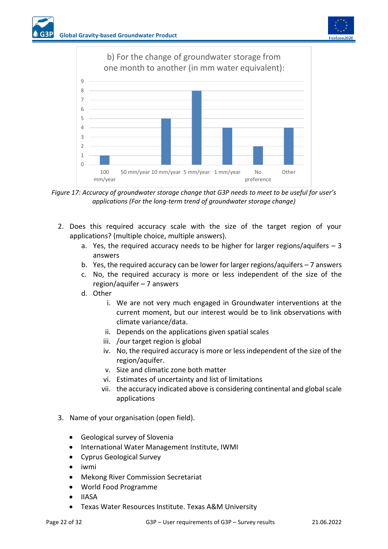



<span id="page-21-0"></span>*Figure 17: Accuracy of groundwater storage change that G3P needs to meet to be useful for user's applications (For the long-term trend of groundwater storage change)*

- 2. Does this required accuracy scale with the size of the target region of your applications? (multiple choice, multiple answers).
	- a. Yes, the required accuracy needs to be higher for larger regions/aquifers  $-3$ answers
	- b. Yes, the required accuracy can be lower for larger regions/aquifers 7 answers
	- c. No, the required accuracy is more or less independent of the size of the region/aquifer – 7 answers
	- d. Other
		- i. We are not very much engaged in Groundwater interventions at the current moment, but our interest would be to link observations with climate variance/data.
		- ii. Depends on the applications given spatial scales
		- iii. /our target region is global
		- iv. No, the required accuracy is more or less independent of the size of the region/aquifer.
		- v. Size and climatic zone both matter
		- vi. Estimates of uncertainty and list of limitations
		- vii. the accuracy indicated above is considering continental and global scale applications
- 3. Name of your organisation (open field).
	- Geological survey of Slovenia
	- International Water Management Institute, IWMI
	- Cyprus Geological Survey
	- iwmi
	- Mekong River Commission Secretariat
	- World Food Programme
	- IIASA
	- Texas Water Resources Institute. Texas A&M University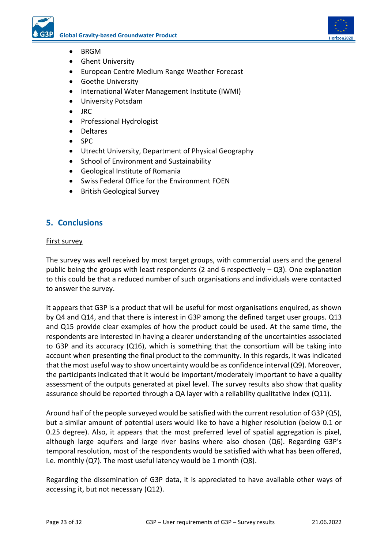

- BRGM
- Ghent University
- European Centre Medium Range Weather Forecast
- Goethe University
- International Water Management Institute (IWMI)
- University Potsdam
- JRC
- Professional Hydrologist
- Deltares
- SPC
- Utrecht University, Department of Physical Geography
- School of Environment and Sustainability
- Geological Institute of Romania
- Swiss Federal Office for the Environment FOEN
- British Geological Survey

#### <span id="page-22-0"></span>**5. Conclusions**

#### First survey

The survey was well received by most target groups, with commercial users and the general public being the groups with least respondents (2 and 6 respectively  $-$  Q3). One explanation to this could be that a reduced number of such organisations and individuals were contacted to answer the survey.

It appears that G3P is a product that will be useful for most organisations enquired, as shown by Q4 and Q14, and that there is interest in G3P among the defined target user groups. Q13 and Q15 provide clear examples of how the product could be used. At the same time, the respondents are interested in having a clearer understanding of the uncertainties associated to G3P and its accuracy (Q16), which is something that the consortium will be taking into account when presenting the final product to the community. In this regards, it was indicated that the most useful way to show uncertainty would be as confidence interval (Q9). Moreover, the participants indicated that it would be important/moderately important to have a quality assessment of the outputs generated at pixel level. The survey results also show that quality assurance should be reported through a QA layer with a reliability qualitative index (Q11).

Around half of the people surveyed would be satisfied with the current resolution of G3P (Q5), but a similar amount of potential users would like to have a higher resolution (below 0.1 or 0.25 degree). Also, it appears that the most preferred level of spatial aggregation is pixel, although large aquifers and large river basins where also chosen (Q6). Regarding G3P's temporal resolution, most of the respondents would be satisfied with what has been offered, i.e. monthly (Q7). The most useful latency would be 1 month (Q8).

Regarding the dissemination of G3P data, it is appreciated to have available other ways of accessing it, but not necessary (Q12).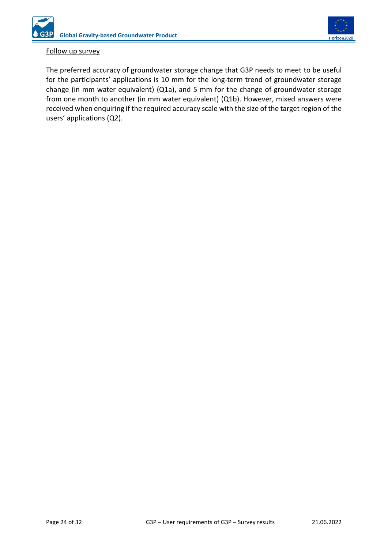

#### Follow up survey

The preferred accuracy of groundwater storage change that G3P needs to meet to be useful for the participants' applications is 10 mm for the long-term trend of groundwater storage change (in mm water equivalent) (Q1a), and 5 mm for the change of groundwater storage from one month to another (in mm water equivalent) (Q1b). However, mixed answers were received when enquiring if the required accuracy scale with the size of the target region of the users' applications (Q2).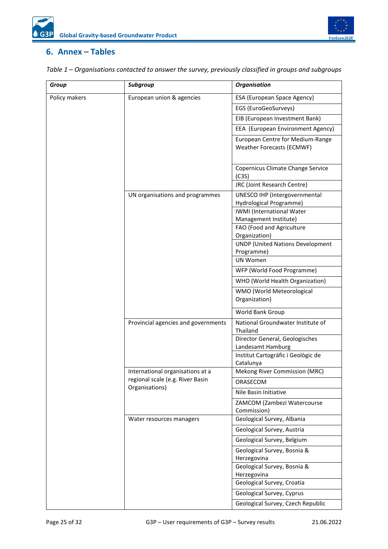

### <span id="page-24-0"></span>**6. Annex – Tables**

| <b>Group</b>  | Subgroup                                                             | <b>Organisation</b>                                       |  |  |  |  |  |
|---------------|----------------------------------------------------------------------|-----------------------------------------------------------|--|--|--|--|--|
| Policy makers | European union & agencies                                            | ESA (European Space Agency)                               |  |  |  |  |  |
|               |                                                                      | EGS (EuroGeoSurveys)                                      |  |  |  |  |  |
|               |                                                                      | EIB (European Investment Bank)                            |  |  |  |  |  |
|               |                                                                      | EEA (European Environment Agency)                         |  |  |  |  |  |
|               | European Centre for Medium-Range<br><b>Weather Forecasts (ECMWF)</b> |                                                           |  |  |  |  |  |
|               | Copernicus Climate Change Service<br>(C3S)                           |                                                           |  |  |  |  |  |
|               |                                                                      | JRC (Joint Research Centre)                               |  |  |  |  |  |
|               | UN organisations and programmes                                      | UNESCO IHP (Intergovernmental<br>Hydrological Programme)  |  |  |  |  |  |
|               |                                                                      | <b>IWMI</b> (International Water<br>Management Institute) |  |  |  |  |  |
|               |                                                                      | FAO (Food and Agriculture<br>Organization)                |  |  |  |  |  |
|               |                                                                      | <b>UNDP (United Nations Development</b><br>Programme)     |  |  |  |  |  |
|               |                                                                      | UN Women                                                  |  |  |  |  |  |
|               |                                                                      | WFP (World Food Programme)                                |  |  |  |  |  |
|               |                                                                      | WHO (World Health Organization)                           |  |  |  |  |  |
|               |                                                                      | WMO (World Meteorological<br>Organization)                |  |  |  |  |  |
|               |                                                                      | World Bank Group                                          |  |  |  |  |  |
|               | Provincial agencies and governments                                  | National Groundwater Institute of<br>Thailand             |  |  |  |  |  |
|               |                                                                      | Director General, Geologisches<br>Landesamt Hamburg       |  |  |  |  |  |
|               |                                                                      | Institut Cartogràfic i Geològic de<br>Catalunya           |  |  |  |  |  |
|               | International organisations at a                                     | Mekong River Commission (MRC)                             |  |  |  |  |  |
|               | regional scale (e.g. River Basin<br>Organisations)                   | ORASECOM                                                  |  |  |  |  |  |
|               |                                                                      | Nile Basin Initiative                                     |  |  |  |  |  |
|               |                                                                      | ZAMCOM (Zambezi Watercourse<br>Commission)                |  |  |  |  |  |
|               | Water resources managers                                             | Geological Survey, Albania                                |  |  |  |  |  |
|               |                                                                      | Geological Survey, Austria                                |  |  |  |  |  |
|               |                                                                      | Geological Survey, Belgium                                |  |  |  |  |  |
|               |                                                                      | Geological Survey, Bosnia &<br>Herzegovina                |  |  |  |  |  |
|               |                                                                      | Geological Survey, Bosnia &<br>Herzegovina                |  |  |  |  |  |
|               |                                                                      | Geological Survey, Croatia                                |  |  |  |  |  |
|               |                                                                      | Geological Survey, Cyprus                                 |  |  |  |  |  |
|               |                                                                      | Geological Survey, Czech Republic                         |  |  |  |  |  |

<span id="page-24-1"></span>*Table 1 – Organisations contacted to answer the survey, previously classified in groups and subgroups*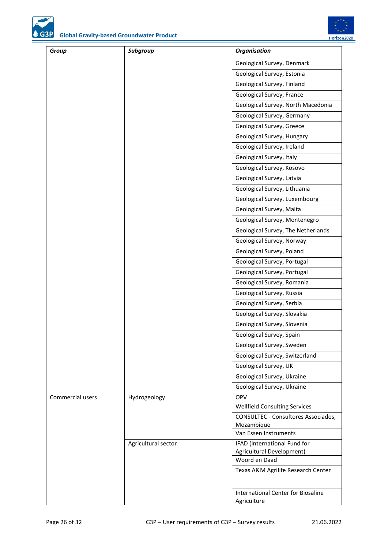

Horizon2020

| Group            | Subgroup            | <b>Organisation</b>                                       |
|------------------|---------------------|-----------------------------------------------------------|
|                  |                     | Geological Survey, Denmark                                |
|                  |                     | Geological Survey, Estonia                                |
|                  |                     | Geological Survey, Finland                                |
|                  |                     | Geological Survey, France                                 |
|                  |                     | Geological Survey, North Macedonia                        |
|                  |                     | Geological Survey, Germany                                |
|                  |                     | Geological Survey, Greece                                 |
|                  |                     | Geological Survey, Hungary                                |
|                  |                     | Geological Survey, Ireland                                |
|                  |                     | Geological Survey, Italy                                  |
|                  |                     | Geological Survey, Kosovo                                 |
|                  |                     | Geological Survey, Latvia                                 |
|                  |                     | Geological Survey, Lithuania                              |
|                  |                     | Geological Survey, Luxembourg                             |
|                  |                     | Geological Survey, Malta                                  |
|                  |                     | Geological Survey, Montenegro                             |
|                  |                     | Geological Survey, The Netherlands                        |
|                  |                     | Geological Survey, Norway                                 |
|                  |                     | Geological Survey, Poland                                 |
|                  |                     | Geological Survey, Portugal                               |
|                  |                     | Geological Survey, Portugal                               |
|                  |                     | Geological Survey, Romania                                |
|                  |                     | Geological Survey, Russia                                 |
|                  |                     | Geological Survey, Serbia                                 |
|                  |                     | Geological Survey, Slovakia                               |
|                  |                     | Geological Survey, Slovenia                               |
|                  |                     | Geological Survey, Spain                                  |
|                  |                     | Geological Survey, Sweden                                 |
|                  |                     | Geological Survey, Switzerland                            |
|                  |                     | Geological Survey, UK                                     |
|                  |                     | Geological Survey, Ukraine                                |
|                  |                     | Geological Survey, Ukraine                                |
| Commercial users | Hydrogeology        | <b>OPV</b>                                                |
|                  |                     | <b>Wellfield Consulting Services</b>                      |
|                  |                     | CONSULTEC - Consultores Associados,                       |
|                  |                     | Mozambique<br>Van Essen Instruments                       |
|                  |                     |                                                           |
|                  | Agricultural sector | IFAD (International Fund for<br>Agricultural Development) |
|                  |                     | Woord en Daad                                             |
|                  |                     | Texas A&M Agrilife Research Center                        |
|                  |                     |                                                           |
|                  |                     | International Center for Biosaline<br>Agriculture         |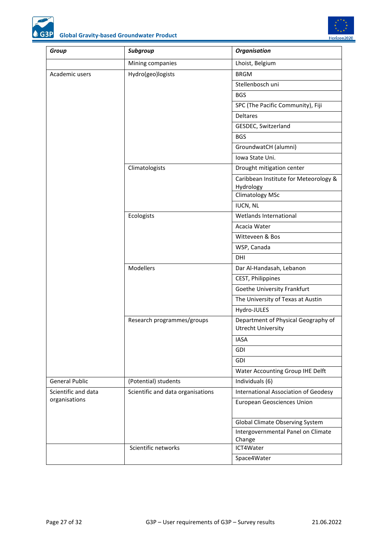



<span id="page-26-0"></span>

| Group                 | Subgroup                                    | <b>Organisation</b>                                              |  |  |  |  |
|-----------------------|---------------------------------------------|------------------------------------------------------------------|--|--|--|--|
|                       | Mining companies                            | Lhoist, Belgium                                                  |  |  |  |  |
| Academic users        | Hydro(geo)logists                           | <b>BRGM</b>                                                      |  |  |  |  |
|                       |                                             | Stellenbosch uni                                                 |  |  |  |  |
|                       |                                             | <b>BGS</b>                                                       |  |  |  |  |
|                       |                                             | SPC (The Pacific Community), Fiji                                |  |  |  |  |
|                       |                                             | <b>Deltares</b>                                                  |  |  |  |  |
|                       |                                             | GESDEC, Switzerland                                              |  |  |  |  |
|                       |                                             | <b>BGS</b>                                                       |  |  |  |  |
|                       |                                             | GroundwatCH (alumni)                                             |  |  |  |  |
|                       |                                             | Iowa State Uni.                                                  |  |  |  |  |
|                       | Climatologists<br>Drought mitigation center |                                                                  |  |  |  |  |
|                       |                                             | Caribbean Institute for Meteorology &                            |  |  |  |  |
|                       |                                             | Hydrology                                                        |  |  |  |  |
|                       |                                             | <b>Climatology MSc</b>                                           |  |  |  |  |
|                       |                                             | <b>IUCN, NL</b><br>Wetlands International                        |  |  |  |  |
|                       | Ecologists                                  |                                                                  |  |  |  |  |
|                       |                                             | Acacia Water                                                     |  |  |  |  |
|                       |                                             | Witteveen & Bos                                                  |  |  |  |  |
|                       |                                             | WSP, Canada                                                      |  |  |  |  |
|                       | DHI                                         |                                                                  |  |  |  |  |
|                       | Modellers                                   | Dar Al-Handasah, Lebanon                                         |  |  |  |  |
|                       |                                             | CEST, Philippines                                                |  |  |  |  |
|                       |                                             | Goethe University Frankfurt                                      |  |  |  |  |
|                       |                                             | The University of Texas at Austin                                |  |  |  |  |
|                       |                                             | Hydro-JULES                                                      |  |  |  |  |
|                       | Research programmes/groups                  | Department of Physical Geography of<br><b>Utrecht University</b> |  |  |  |  |
|                       |                                             | <b>IASA</b>                                                      |  |  |  |  |
|                       |                                             | <b>GDI</b>                                                       |  |  |  |  |
|                       |                                             | GDI                                                              |  |  |  |  |
|                       |                                             | Water Accounting Group IHE Delft                                 |  |  |  |  |
| <b>General Public</b> | (Potential) students                        | Individuals (6)                                                  |  |  |  |  |
| Scientific and data   | Scientific and data organisations           | International Association of Geodesy                             |  |  |  |  |
| organisations         |                                             | <b>European Geosciences Union</b>                                |  |  |  |  |
|                       |                                             | Global Climate Observing System                                  |  |  |  |  |
|                       |                                             | Intergovernmental Panel on Climate<br>Change                     |  |  |  |  |
|                       | Scientific networks                         | ICT4Water                                                        |  |  |  |  |
|                       |                                             | Space4Water                                                      |  |  |  |  |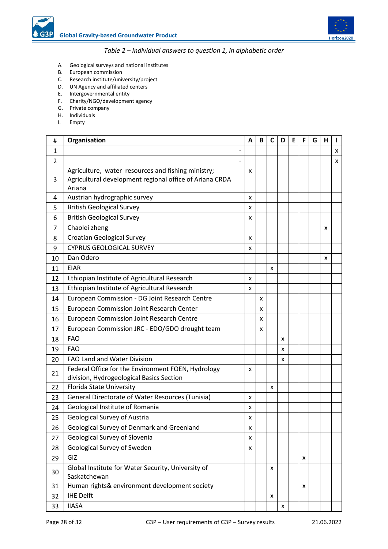

#### *Table 2 – Individual answers to question 1, in alphabetic order*

- <span id="page-27-0"></span>A. Geological surveys and national institutes
- B. European commission
- C. Research institute/university/project
- D. UN Agency and affiliated centers
- E. Intergovernmental entity
- F. Charity/NGO/development agency
- G. Private company
- H. Individuals
- I. Empty

| #              | Organisation                                                                                                            | A | B | C | D | Ε | F | G | н |   |
|----------------|-------------------------------------------------------------------------------------------------------------------------|---|---|---|---|---|---|---|---|---|
| $\mathbf{1}$   |                                                                                                                         |   |   |   |   |   |   |   |   | x |
| $\overline{2}$ |                                                                                                                         |   |   |   |   |   |   |   |   | X |
| 3              | Agriculture, water resources and fishing ministry;<br>Agricultural development regional office of Ariana CRDA<br>Ariana | x |   |   |   |   |   |   |   |   |
| 4              | Austrian hydrographic survey                                                                                            | x |   |   |   |   |   |   |   |   |
| 5              | <b>British Geological Survey</b>                                                                                        | x |   |   |   |   |   |   |   |   |
| 6              | <b>British Geological Survey</b>                                                                                        | x |   |   |   |   |   |   |   |   |
| 7              | Chaolei zheng                                                                                                           |   |   |   |   |   |   |   | x |   |
| 8              | <b>Croatian Geological Survey</b>                                                                                       | x |   |   |   |   |   |   |   |   |
| 9              | <b>CYPRUS GEOLOGICAL SURVEY</b>                                                                                         | x |   |   |   |   |   |   |   |   |
| 10             | Dan Odero                                                                                                               |   |   |   |   |   |   |   | x |   |
| 11             | <b>EIAR</b>                                                                                                             |   |   | x |   |   |   |   |   |   |
| 12             | Ethiopian Institute of Agricultural Research                                                                            | x |   |   |   |   |   |   |   |   |
| 13             | Ethiopian Institute of Agricultural Research                                                                            | x |   |   |   |   |   |   |   |   |
| 14             | European Commission - DG Joint Research Centre                                                                          |   | x |   |   |   |   |   |   |   |
| 15             | European Commission Joint Research Center                                                                               |   | x |   |   |   |   |   |   |   |
| 16             | <b>European Commission Joint Research Centre</b>                                                                        |   | x |   |   |   |   |   |   |   |
| 17             | European Commission JRC - EDO/GDO drought team                                                                          |   | x |   |   |   |   |   |   |   |
| 18             | <b>FAO</b>                                                                                                              |   |   |   | x |   |   |   |   |   |
| 19             | <b>FAO</b>                                                                                                              |   |   |   | X |   |   |   |   |   |
| 20             | <b>FAO Land and Water Division</b>                                                                                      |   |   |   | x |   |   |   |   |   |
| 21             | Federal Office for the Environment FOEN, Hydrology<br>division, Hydrogeological Basics Section                          | x |   |   |   |   |   |   |   |   |
| 22             | Florida State University                                                                                                |   |   | x |   |   |   |   |   |   |
| 23             | General Directorate of Water Resources (Tunisia)                                                                        | x |   |   |   |   |   |   |   |   |
| 24             | Geological Institute of Romania                                                                                         | x |   |   |   |   |   |   |   |   |
| 25             | <b>Geological Survey of Austria</b>                                                                                     | x |   |   |   |   |   |   |   |   |
| 26             | Geological Survey of Denmark and Greenland                                                                              | X |   |   |   |   |   |   |   |   |
| 27             | Geological Survey of Slovenia                                                                                           | x |   |   |   |   |   |   |   |   |
| 28             | Geological Survey of Sweden                                                                                             | x |   |   |   |   |   |   |   |   |
| 29             | GIZ                                                                                                                     |   |   |   |   |   | x |   |   |   |
| 30             | Global Institute for Water Security, University of<br>Saskatchewan                                                      |   |   | x |   |   |   |   |   |   |
| 31             | Human rights& environment development society                                                                           |   |   |   |   |   | X |   |   |   |
| 32             | <b>IHE Delft</b>                                                                                                        |   |   | x |   |   |   |   |   |   |
| 33             | <b>IIASA</b>                                                                                                            |   |   |   | X |   |   |   |   |   |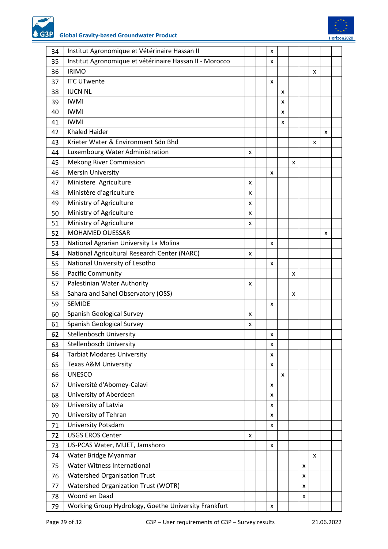**Global Gravity-based Groundwater Product** G3P

| 34 | Institut Agronomique et Vétérinaire Hassan II           |   | x |   |   |   |   |   |  |
|----|---------------------------------------------------------|---|---|---|---|---|---|---|--|
| 35 | Institut Agronomique et vétérinaire Hassan II - Morocco |   | x |   |   |   |   |   |  |
| 36 | <b>IRIMO</b>                                            |   |   |   |   |   | x |   |  |
| 37 | <b>ITC UTwente</b>                                      |   | x |   |   |   |   |   |  |
| 38 | <b>IUCN NL</b>                                          |   |   | x |   |   |   |   |  |
| 39 | <b>IWMI</b>                                             |   |   | x |   |   |   |   |  |
| 40 | <b>IWMI</b>                                             |   |   | x |   |   |   |   |  |
| 41 | <b>IWMI</b>                                             |   |   | x |   |   |   |   |  |
| 42 | <b>Khaled Haider</b>                                    |   |   |   |   |   |   | x |  |
| 43 | Krieter Water & Environment Sdn Bhd                     |   |   |   |   |   | x |   |  |
| 44 | Luxembourg Water Administration                         | x |   |   |   |   |   |   |  |
| 45 | <b>Mekong River Commission</b>                          |   |   |   | X |   |   |   |  |
| 46 | <b>Mersin University</b>                                |   | X |   |   |   |   |   |  |
| 47 | Ministere Agriculture                                   | x |   |   |   |   |   |   |  |
| 48 | Ministère d'agriculture                                 | x |   |   |   |   |   |   |  |
| 49 | Ministry of Agriculture                                 | x |   |   |   |   |   |   |  |
| 50 | Ministry of Agriculture                                 | x |   |   |   |   |   |   |  |
| 51 | Ministry of Agriculture                                 | x |   |   |   |   |   |   |  |
| 52 | MOHAMED OUESSAR                                         |   |   |   |   |   |   | x |  |
| 53 | National Agrarian University La Molina                  |   | x |   |   |   |   |   |  |
| 54 | National Agricultural Research Center (NARC)            | x |   |   |   |   |   |   |  |
| 55 | National University of Lesotho                          |   | x |   |   |   |   |   |  |
| 56 | Pacific Community                                       |   |   |   | X |   |   |   |  |
|    | Palestinian Water Authority                             |   |   |   |   |   |   |   |  |
| 57 |                                                         | x |   |   |   |   |   |   |  |
| 58 | Sahara and Sahel Observatory (OSS)<br><b>SEMIDE</b>     |   |   |   | x |   |   |   |  |
| 59 |                                                         |   | X |   |   |   |   |   |  |
| 60 | Spanish Geological Survey                               | x |   |   |   |   |   |   |  |
| 61 | Spanish Geological Survey                               | x |   |   |   |   |   |   |  |
| 62 | <b>Stellenbosch University</b>                          |   | x |   |   |   |   |   |  |
| 63 | Stellenbosch University                                 |   | x |   |   |   |   |   |  |
| 64 | <b>Tarbiat Modares University</b>                       |   | x |   |   |   |   |   |  |
| 65 | Texas A&M University                                    |   | x |   |   |   |   |   |  |
| 66 | <b>UNESCO</b>                                           |   |   | x |   |   |   |   |  |
| 67 | Université d'Abomey-Calavi                              |   | x |   |   |   |   |   |  |
| 68 | University of Aberdeen                                  |   | x |   |   |   |   |   |  |
| 69 | University of Latvia                                    |   | x |   |   |   |   |   |  |
| 70 | University of Tehran                                    |   | x |   |   |   |   |   |  |
| 71 | University Potsdam                                      |   | x |   |   |   |   |   |  |
| 72 | <b>USGS EROS Center</b>                                 | x |   |   |   |   |   |   |  |
| 73 | US-PCAS Water, MUET, Jamshoro                           |   | x |   |   |   |   |   |  |
| 74 | Water Bridge Myanmar                                    |   |   |   |   |   | X |   |  |
| 75 | Water Witness International                             |   |   |   |   | x |   |   |  |
| 76 | <b>Watershed Organisation Trust</b>                     |   |   |   |   | x |   |   |  |
| 77 | <b>Watershed Organization Trust (WOTR)</b>              |   |   |   |   | x |   |   |  |
| 78 | Woord en Daad                                           |   |   |   |   | x |   |   |  |
| 79 | Working Group Hydrology, Goethe University Frankfurt    |   | x |   |   |   |   |   |  |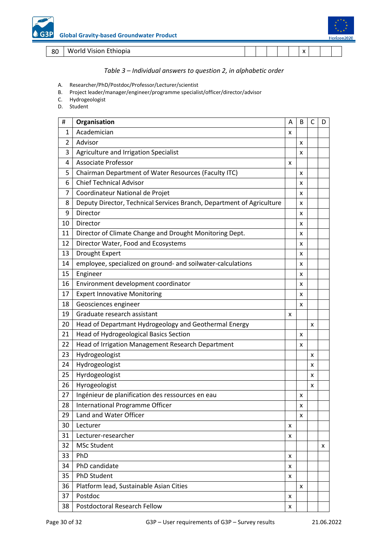<span id="page-29-0"></span>World Vision Ethiopia x

#### *Table 3 – Individual answers to question 2, in alphabetic order*

- A. Researcher/PhD/Postdoc/Professor/Lecturer/scientist
- B. Project leader/manager/engineer/programme specialist/officer/director/advisor
- C. Hydrogeologist
- D. Student

| #            | Organisation                                                          | Α | B | C | D |
|--------------|-----------------------------------------------------------------------|---|---|---|---|
| $\mathbf{1}$ | Academician                                                           | x |   |   |   |
| 2            | Advisor                                                               |   | х |   |   |
| 3            | Agriculture and Irrigation Specialist                                 |   | x |   |   |
| 4            | <b>Associate Professor</b>                                            | x |   |   |   |
| 5            | Chairman Department of Water Resources (Faculty ITC)                  |   | x |   |   |
| 6            | <b>Chief Technical Advisor</b>                                        |   | х |   |   |
| 7            | Coordinateur National de Projet                                       |   | x |   |   |
| 8            | Deputy Director, Technical Services Branch, Department of Agriculture |   | x |   |   |
| 9            | Director                                                              |   | x |   |   |
| 10           | Director                                                              |   | х |   |   |
| 11           | Director of Climate Change and Drought Monitoring Dept.               |   | x |   |   |
| 12           | Director Water, Food and Ecosystems                                   |   | x |   |   |
| 13           | Drought Expert                                                        |   | x |   |   |
| 14           | employee, specialized on ground- and soilwater-calculations           |   | х |   |   |
| 15           | Engineer                                                              |   | x |   |   |
| 16           | Environment development coordinator                                   |   | x |   |   |
| 17           | <b>Expert Innovative Monitoring</b>                                   |   | х |   |   |
| 18           | Geosciences engineer                                                  |   | x |   |   |
| 19           | Graduate research assistant                                           | x |   |   |   |
| 20           | Head of Departmant Hydrogeology and Geothermal Energy                 |   |   | x |   |
| 21           | <b>Head of Hydrogeological Basics Section</b>                         |   | x |   |   |
| 22           | Head of Irrigation Management Research Department                     |   | x |   |   |
| 23           | Hydrogeologist                                                        |   |   | x |   |
| 24           | Hydrogeologist                                                        |   |   | x |   |
| 25           | Hyrdogeologist                                                        |   |   | x |   |
| 26           | Hyrogeologist                                                         |   |   | x |   |
| 27           | Ingénieur de planification des ressources en eau                      |   | x |   |   |
| 28           | International Programme Officer                                       |   | x |   |   |
| 29           | Land and Water Officer                                                |   | x |   |   |
| 30           | Lecturer                                                              | x |   |   |   |
| 31           | Lecturer-researcher                                                   | x |   |   |   |
| 32           | <b>MSc Student</b>                                                    |   |   |   | x |
| 33           | <b>PhD</b>                                                            | x |   |   |   |
| 34           | PhD candidate                                                         | x |   |   |   |
| 35           | <b>PhD Student</b>                                                    | x |   |   |   |
| 36           | Platform lead, Sustainable Asian Cities                               |   | x |   |   |
| 37           | Postdoc                                                               | x |   |   |   |
| 38           | <b>Postdoctoral Research Fellow</b>                                   | x |   |   |   |
|              |                                                                       |   |   |   |   |

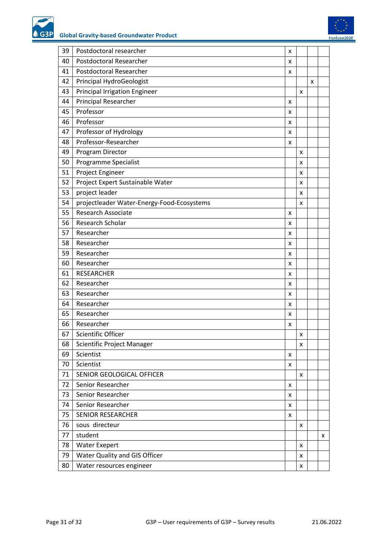

<span id="page-30-0"></span>

| 39 | Postdoctoral researcher                    | x |   |   |   |
|----|--------------------------------------------|---|---|---|---|
| 40 | Postdoctoral Researcher                    | x |   |   |   |
| 41 | Postdoctoral Researcher                    | x |   |   |   |
| 42 | Principal HydroGeologist                   |   |   | x |   |
| 43 | <b>Principal Irrigation Engineer</b>       |   | x |   |   |
| 44 | <b>Principal Researcher</b>                | x |   |   |   |
| 45 | Professor                                  | x |   |   |   |
| 46 | Professor                                  | x |   |   |   |
| 47 | Professor of Hydrology                     | x |   |   |   |
| 48 | Professor-Researcher                       | X |   |   |   |
| 49 | Program Director                           |   | x |   |   |
| 50 | Programme Specialist                       |   | x |   |   |
| 51 | Project Engineer                           |   | x |   |   |
| 52 | Project Expert Sustainable Water           |   | x |   |   |
| 53 | project leader                             |   | x |   |   |
| 54 | projectleader Water-Energy-Food-Ecosystems |   | x |   |   |
| 55 | Research Associate                         | X |   |   |   |
| 56 | Research Scholar                           | x |   |   |   |
| 57 | Researcher                                 | x |   |   |   |
| 58 | Researcher                                 | x |   |   |   |
| 59 | Researcher                                 | x |   |   |   |
| 60 | Researcher                                 | x |   |   |   |
| 61 | <b>RESEARCHER</b>                          | x |   |   |   |
| 62 | Researcher                                 | x |   |   |   |
| 63 | Researcher                                 | x |   |   |   |
| 64 | Researcher                                 | x |   |   |   |
| 65 | Researcher                                 | x |   |   |   |
| 66 | Researcher                                 | x |   |   |   |
| 67 | Scientific Officer                         |   | Χ |   |   |
| 68 | Scientific Project Manager                 |   | x |   |   |
| 69 | Scientist                                  | x |   |   |   |
| 70 | Scientist                                  | x |   |   |   |
| 71 | SENIOR GEOLOGICAL OFFICER                  |   | X |   |   |
| 72 | Senior Researcher                          | x |   |   |   |
| 73 | Senior Researcher                          | x |   |   |   |
| 74 | Senior Researcher                          | x |   |   |   |
| 75 | <b>SENIOR RESEARCHER</b>                   | x |   |   |   |
| 76 | sous directeur                             |   | x |   |   |
| 77 | student                                    |   |   |   | x |
| 78 | <b>Water Exepert</b>                       |   | x |   |   |
| 79 | Water Quality and GIS Officer              |   | x |   |   |
| 80 | Water resources engineer                   |   | x |   |   |